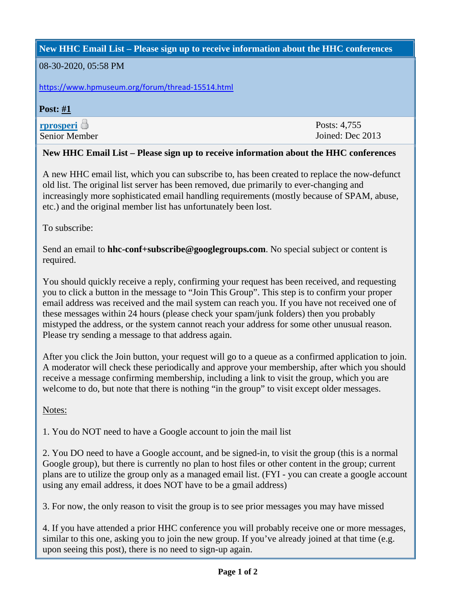## **New HHC Email List – Please sign up to receive information about the HHC conferences**

## 08-30-2020, 05:58 PM

<https://www.hpmuseum.org/forum/thread-15514.html>

**Post: [#1](https://www.hpmuseum.org/forum/thread-15514-post-135795.html#pid135795)**

**[rprosperi](https://www.hpmuseum.org/forum/user-136.html)** Senior Member Posts: 4,755 Joined: Dec 2013

## **New HHC Email List – Please sign up to receive information about the HHC conferences**

A new HHC email list, which you can subscribe to, has been created to replace the now-defunct old list. The original list server has been removed, due primarily to ever-changing and increasingly more sophisticated email handling requirements (mostly because of SPAM, abuse, etc.) and the original member list has unfortunately been lost.

To subscribe:

Send an email to **hhc-conf+subscribe@googlegroups.com**. No special subject or content is required.

You should quickly receive a reply, confirming your request has been received, and requesting you to click a button in the message to "Join This Group". This step is to confirm your proper email address was received and the mail system can reach you. If you have not received one of these messages within 24 hours (please check your spam/junk folders) then you probably mistyped the address, or the system cannot reach your address for some other unusual reason. Please try sending a message to that address again.

After you click the Join button, your request will go to a queue as a confirmed application to join. A moderator will check these periodically and approve your membership, after which you should receive a message confirming membership, including a link to visit the group, which you are welcome to do, but note that there is nothing "in the group" to visit except older messages.

Notes:

1. You do NOT need to have a Google account to join the mail list

2. You DO need to have a Google account, and be signed-in, to visit the group (this is a normal Google group), but there is currently no plan to host files or other content in the group; current plans are to utilize the group only as a managed email list. (FYI - you can create a google account using any email address, it does NOT have to be a gmail address)

3. For now, the only reason to visit the group is to see prior messages you may have missed

4. If you have attended a prior HHC conference you will probably receive one or more messages, similar to this one, asking you to join the new group. If you've already joined at that time (e.g. upon seeing this post), there is no need to sign-up again.